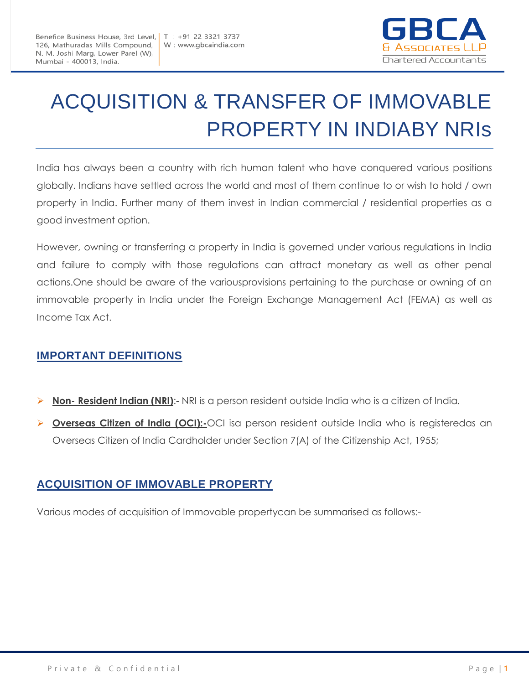

# ACQUISITION & TRANSFER OF IMMOVABLE PROPERTY IN INDIABY NRIs

India has always been a country with rich human talent who have conquered various positions globally. Indians have settled across the world and most of them continue to or wish to hold / own property in India. Further many of them invest in Indian commercial / residential properties as a good investment option.

However, owning or transferring a property in India is governed under various regulations in India and failure to comply with those regulations can attract monetary as well as other penal actions.One should be aware of the variousprovisions pertaining to the purchase or owning of an immovable property in India under the Foreign Exchange Management Act (FEMA) as well as Income Tax Act.

# **IMPORTANT DEFINITIONS**

- **Non- Resident Indian (NRI)**:- NRI is a person resident outside India who is a citizen of India*.*
- **Overseas Citizen of India (OCI):-**OCI isa person resident outside India who is registeredas an Overseas Citizen of India Cardholder under Section 7(A) of the Citizenship Act, 1955;

# **ACQUISITION OF IMMOVABLE PROPERTY**

Various modes of acquisition of Immovable propertycan be summarised as follows:-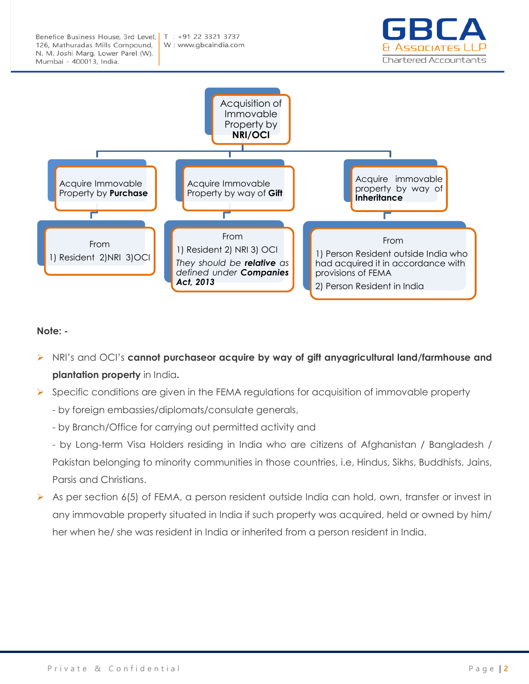



#### **Note: -**

- NRI's and OCI's **cannot purchaseor acquire by way of gift anyagricultural land/farmhouse and plantation property** in India**.**
- $\triangleright$  Specific conditions are given in the FEMA regulations for acquisition of immovable property
	- by foreign embassies/diplomats/consulate generals,
	- by Branch/Office for carrying out permitted activity and
	- by Long-term Visa Holders residing in India who are citizens of Afghanistan / Bangladesh / Pakistan belonging to minority communities in those countries, i.e, Hindus, Sikhs, Buddhists, Jains, Parsis and Christians.
- $\triangleright$  As per section 6(5) of FEMA, a person resident outside India can hold, own, transfer or invest in any immovable property situated in India if such property was acquired, held or owned by him/ her when he/ she was resident in India or inherited from a person resident in India.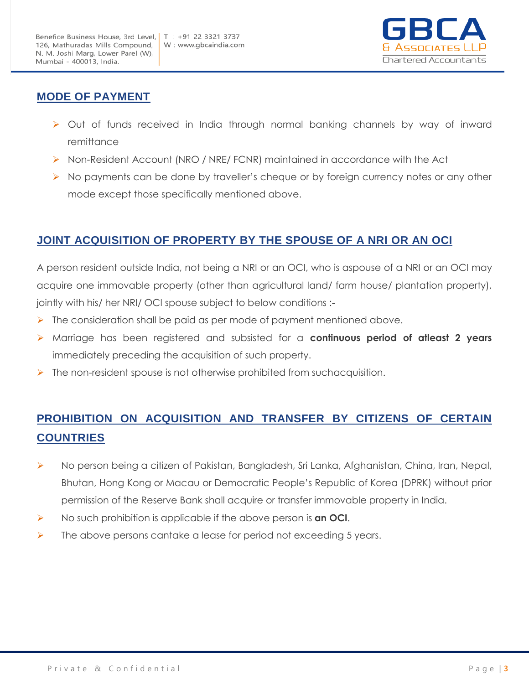

#### **MODE OF PAYMENT**

- Out of funds received in India through normal banking channels by way of inward remittance
- Non-Resident Account (NRO / NRE/ FCNR) maintained in accordance with the Act
- $\triangleright$  No payments can be done by traveller's cheque or by foreign currency notes or any other mode except those specifically mentioned above.

### **JOINT ACQUISITION OF PROPERTY BY THE SPOUSE OF A NRI OR AN OCI**

A person resident outside India, not being a NRI or an OCI, who is aspouse of a NRI or an OCI may acquire one immovable property (other than agricultural land/ farm house/ plantation property), jointly with his/ her NRI/ OCI spouse subject to below conditions :-

- $\triangleright$  The consideration shall be paid as per mode of payment mentioned above.
- Marriage has been registered and subsisted for a **continuous period of atleast 2 years** immediately preceding the acquisition of such property.
- $\triangleright$  The non-resident spouse is not otherwise prohibited from suchacquisition.

# **PROHIBITION ON ACQUISITION AND TRANSFER BY CITIZENS OF CERTAIN COUNTRIES**

- ▶ No person being a citizen of Pakistan, Bangladesh, Sri Lanka, Afghanistan, China, Iran, Nepal, Bhutan, Hong Kong or Macau or Democratic People's Republic of Korea (DPRK) without prior permission of the Reserve Bank shall acquire or transfer immovable property in India.
- No such prohibition is applicable if the above person is **an OCI**.
- $\triangleright$  The above persons cantake a lease for period not exceeding 5 years.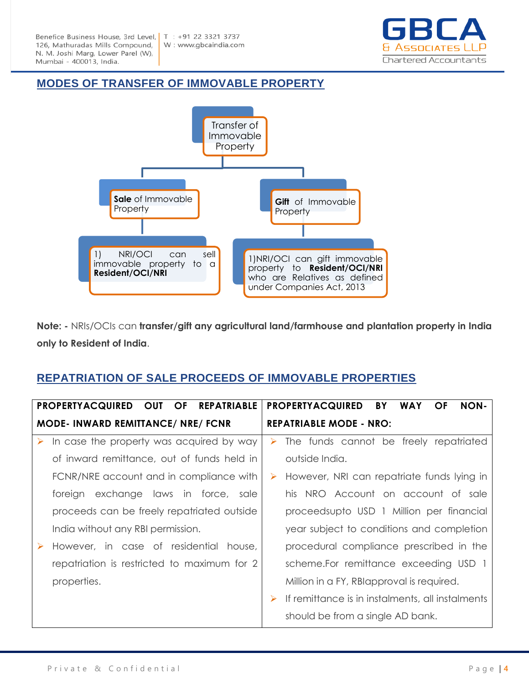

#### **MODES OF TRANSFER OF IMMOVABLE PROPERTY**



**Note: -** NRIs/OCIs can **transfer/gift any agricultural land/farmhouse and plantation property in India only to Resident of India**.

#### **REPATRIATION OF SALE PROCEEDS OF IMMOVABLE PROPERTIES**

|                                          | <b>OF</b><br>PROPERTYACQUIRED OUT<br><b>REPATRIABLE</b> |                                | <b>PROPERTYACQUIRED</b><br><b>NON-</b><br>BY<br><b>WAY</b><br>OF |
|------------------------------------------|---------------------------------------------------------|--------------------------------|------------------------------------------------------------------|
| <b>MODE-INWARD REMITTANCE/ NRE/ FCNR</b> |                                                         | <b>REPATRIABLE MODE - NRO:</b> |                                                                  |
| ➤                                        | In case the property was acquired by way                | ➤                              | The funds cannot be freely repatriated                           |
|                                          | of inward remittance, out of funds held in              |                                | outside India.                                                   |
|                                          | FCNR/NRE account and in compliance with                 | ➤                              | However, NRI can repatriate funds lying in                       |
|                                          | foreign exchange laws in force, sale                    |                                | his NRO Account on account of sale                               |
|                                          | proceeds can be freely repatriated outside              |                                | proceedsupto USD 1 Million per financial                         |
|                                          | India without any RBI permission.                       |                                | year subject to conditions and completion                        |
|                                          | However, in case of residential house,                  |                                | procedural compliance prescribed in the                          |
|                                          | repatriation is restricted to maximum for 2             |                                | scheme.For remittance exceeding USD 1                            |
|                                          | properties.                                             |                                | Million in a FY, RBIapproval is required.                        |
|                                          |                                                         | ➤                              | If remittance is in instalments, all instalments                 |
|                                          |                                                         |                                | should be from a single AD bank.                                 |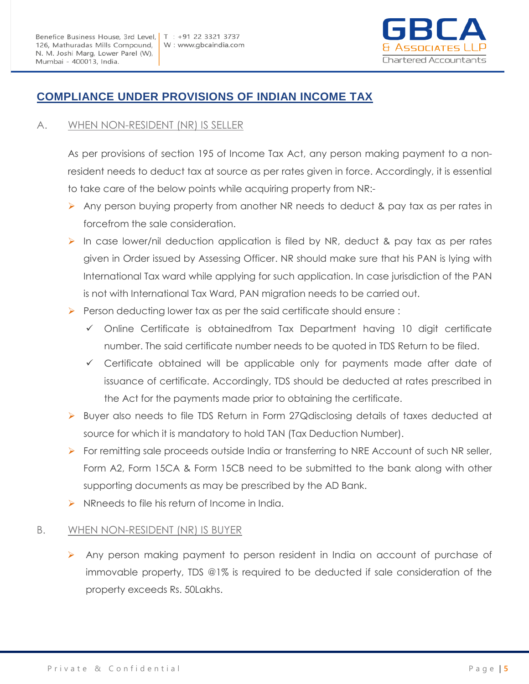

# **COMPLIANCE UNDER PROVISIONS OF INDIAN INCOME TAX**

#### A. WHEN NON-RESIDENT (NR) IS SELLER

As per provisions of section 195 of Income Tax Act, any person making payment to a nonresident needs to deduct tax at source as per rates given in force. Accordingly, it is essential to take care of the below points while acquiring property from NR:-

- Any person buying property from another NR needs to deduct & pay tax as per rates in forcefrom the sale consideration.
- $\triangleright$  In case lower/nil deduction application is filed by NR, deduct & pay tax as per rates given in Order issued by Assessing Officer. NR should make sure that his PAN is lying with International Tax ward while applying for such application. In case jurisdiction of the PAN is not with International Tax Ward, PAN migration needs to be carried out.
- **Person deducting lower tax as per the said certificate should ensure :** 
	- $\checkmark$  Online Certificate is obtainedfrom Tax Department having 10 digit certificate number. The said certificate number needs to be quoted in TDS Return to be filed.
	- $\checkmark$  Certificate obtained will be applicable only for payments made after date of issuance of certificate. Accordingly, TDS should be deducted at rates prescribed in the Act for the payments made prior to obtaining the certificate.
- ▶ Buyer also needs to file TDS Return in Form 27Qdisclosing details of taxes deducted at source for which it is mandatory to hold TAN (Tax Deduction Number).
- **For remitting sale proceeds outside India or transferring to NRE Account of such NR seller,** Form A2, Form 15CA & Form 15CB need to be submitted to the bank along with other supporting documents as may be prescribed by the AD Bank.
- $\triangleright$  NRneeds to file his return of Income in India.

#### B. WHEN NON-RESIDENT (NR) IS BUYER

Any person making payment to person resident in India on account of purchase of immovable property, TDS @1% is required to be deducted if sale consideration of the property exceeds Rs. 50Lakhs.